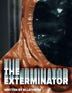

**WRITTEN BY M.LATHROM**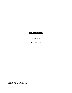# THE EXTERMINATOR

Written by

Matt Lathrom

matt@mlathrom.com writtenby.mlathrom.com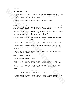FADE IN:

**EXT. STREET - DAY**

The EXTERMINATOR, face unseen, slams the white van door. He straightens the metal tank on his back. Heads toward the brick apartment across the street.

An electrical buzz emanates from the metal tank.

### **INT. APARTMENT - DAY**

NOAM's beer gut hangs over his lap as he leans forward and squints at the dingy laptop on his coffee table. He's a 48 year-old man living a 19-year-old's nightmare.

Togo bags and plastic utensil's pepper the apartment. Parts and half-assembled computers fill empty spaces and corners. The room hums with running computer fans.

He throw one of the four pairs of glasses from the table.

Code streams down the black console window.

He stands from the couch, heads for the open kitchen area.

He opens the refrigerator. A humming computer sits where food and shelves should be. Wires run out of a bored hold in the side.

He pulls an ethernet cable from a port hub, plugs it into the side of the computer.

Green lights blink on.

#### **INT. APARTMENT LOBBY - DAY**

Ding. The "L" light blinks on above the elevator. The Exterminator rocks back and forth, whistles a snappy tune.

The elevator doors part. A thick man in a grey wool coat struts steps out. He takes notice of the Exterminator's tank.

## THICK MAN What the hell you got in there?

FADE IN:<br>
EXTREMINATOR, face unseen, slams the white van door. He<br>
is the SXTERMINATOR, face unseen, slams the white van door. He<br>
is the schemation that the metal tank on his back. Meads toward the<br>
Pric, apartment across The Exterminator steps into the elevator, turns around. He's a 36-year-old man with a round face and stylish black glasses.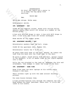EXTERMINATOR Oh this? The tank's got a motor in it to keep the bug spray from settling.

#### THICK MAN

Hmm.

Thick man shrugs. Walks away.

Exterminator smirks.

## **INT. APARTMENT - DAY**

CLOSE ON the computer screen. Boxes with various dollar amounts drain, then scroll off screen as a number at the bottom grows.

A box with \$12,000 drops to zero. A box with \$479 drops to zero. A box with -\$30 flies off screen unchanged.

Noam smirks as the number grows.

## **INT. APARTMENT HALLWAY - DAY**

Exterminator wanders down the hall, stops.

CLOSE ON the apartment door. Number 905.

Exterminator twists the 9 to be a 6.

He peers down both ends of the hall. Nobody. He lowers the tank from his back onto the floor next to the door.

On this <sup>2</sup> Excelusionary and the best propositions in the total periodic in the state of the state of sections and the state and the state and the mean of the state and the state and the state and the state and the state He pulls a small, black bottle from his belt, sprays liquid in the deadbolt. A bit of smoke rises as the liquid expands into a foam.

Pulls the tub attached to the tank up, examines the thin end attachment, then wedges it under the crack of the door.

### **INT. APARTMENT - SAME TIME**

Noam flips open two more laptops on his coffee table. Presses a few keys.

Their screens light up with the same account draining process.

His eyes bounce between them.

A high pitched buzzing cuts through the computer fan hum. Noam shakes his head, panicked. Peers over. A little bee lands on his sleeve.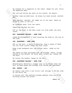He reaches for a magazine on the table. Swaps his arm. Pulls the magazine away.

The red and yellow goo mark on his sleeve. He sneers.

Another high pitched buzz. He ships his head around. Another bee.

Then another. Another. He jumps out of his seat. Swats at group of bees in the air.

He stumbles back, hits the table.

Something catches his eye.

POV on the door. A few bees crawl out from under the door crack.

#### **EXT. APARTMENT HALLWAY - SAME TIME**

CLOSE ON Exterminator's hand twisting the knob at the top of the tank.

### **INT. APARTMENT - SAME TIME**

POV on the door. A swell of buzzing, then a swarm of bees fly out from a point under the door crack.

Noam trips backward over the coffee table, lands on his back.

We reaches for a magazine on the table. Sweps his arm. Pulls<br>the magazine oway.<br>The red and yellow yoo mark on his elever. He sneers.<br>Another high pitched buzz. He ships his head around. Another<br>Dec.<br>Then another. Another. The swarm of bees surrounds him. He screams, swats, flings around on the ground. He rools over, crawls up, rushes for the door.

He twists the handle, bangs on the door.

#### **EXT. APARTMENT HALLWAY - SAME TIME**

Exterminator whistles a snappy tune as he struts down the hall as Noam bangs and screams from inside the apartment.

#### **EXT. STREET - DAY**

An insect logo with a red circle line through it on the side of the white van.

It drives off. The muffled screams emanate from the brick building across the street.

SMASH TO: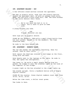### **INT. APARTMENT HALLWAY - DAY**

A few officers stand nervous outside the apartment.

INT. APARTMENT HALWAY - DAY<br>
A few officers stand nervous outside the apartment.<br>
Involume in plastic suits ofter into the plastic burrier<br>
around the apartment door. On with an original suits,<br>
DEVE, and one with a blue-l Two men in plastic suits, step into the plastic barrier around the apartment door. On with an orange-lined suite, DAVE, and one with a blue-lined suit, TOM. The hood screens on the suits obscure their faces.

DAVE We're not sure how bad it is in there. You'll have to give us some time.

A young nervous cop nods.

COP Y-yeah. Whatever you say.

Dave zips put he plastic shield.

CLOSE ON the deadbolt. TOM pulls a small black bottle from his suit pocket. Sprays it on the deadbolt. The foam dissolves away.

He nods to the Dave behind him.

#### **INT. APARTMENT - MOMENTS LATER**

The two men wander the apartment, searching. Bees fly around, land on their suits.

Both ignore the dead man covered in red bumps on the floor, along with the bees.

Dave kneels next to the laptops on the table. He nods to Tom, who opens the refrigerator.

Tom leans in. He pulls a small dongle device from his pocket. He clamps it onto the ethernet cable in the side of the computer in the fridge.

A green light on the box attached to the clamp lights up.

Tom stands upright. Pulls a handheld device with a simple digital counter.

CLOSE ON the counter. Green digital numbers count down from 30:00, 29:55, 29:49.

Below the time count, a dollar count grows.

Tom looks to Dave.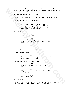Dave peers at the laptop screen. The number at the bottom of the screen that was once growing drawings along with the other boxed accounts.

### **EXT. APARTMENT HALLWAY - LATER**

Dave pears at the laptop screen, The number at the bottom of<br>the soreen that was once growing drawings along with the<br>chirat boxed accounts.<br>EXT. APARTMSENT RALIMAY - LATER<br>Dave and Tom steps out of the barrier. Tom sign i Dave and Tom steps out of the barrier. Tom zips it up. Dave approaches the nervous cop.

DAVE It's pretty bad in there. We deployed a bug bomb, but it'll be at least two hours before anyone can step foot in there.

The cop nods.

COP Right. Makes sense.

DAVE Now, we're going to go grab some lunch. By the time we're back, the gas should be settled.

COP Got it. Thanks.

Dave and Tom head off down the hall

The cop turns around.

COP Hey, did you see anything... out of the ordinary in there?

Dave pauses, doesn't look back.

DAVE You mean other than a swarm of bees?

COP Right. Well we couldn't get a hold of the tenant.

DAVE Well good luck.

The cop nods.

Dave and Tom wait by the elevator doors. They part. The thick man in the gray wool coat strolls out.